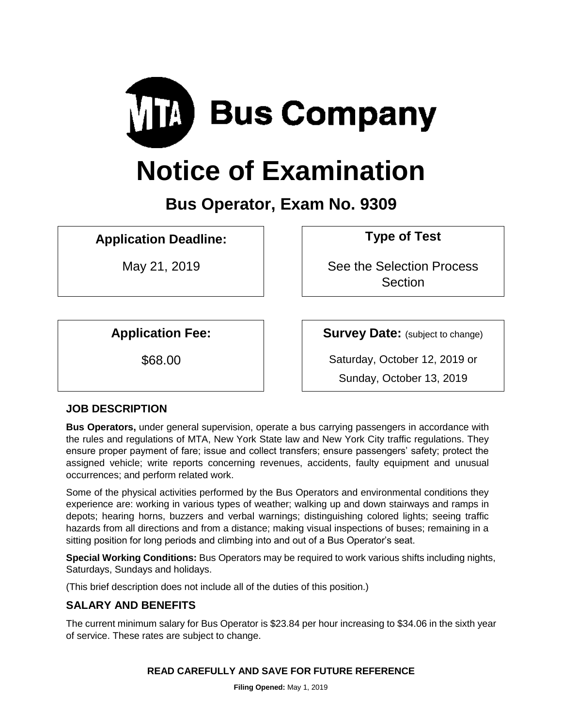

# **Notice of Examination**

# **Bus Operator, Exam No. 9309**

**Application Deadline: Type of Test** 

May 21, 2019 **Nightlers** See the Selection Process **Section** 

**Application Fee: Survey Date:** (subject to change)

\$68.00 Saturday, October 12, 2019 or

Sunday, October 13, 2019

# **JOB DESCRIPTION**

**Bus Operators,** under general supervision, operate a bus carrying passengers in accordance with the rules and regulations of MTA, New York State law and New York City traffic regulations. They ensure proper payment of fare; issue and collect transfers; ensure passengers' safety; protect the assigned vehicle; write reports concerning revenues, accidents, faulty equipment and unusual occurrences; and perform related work.

Some of the physical activities performed by the Bus Operators and environmental conditions they experience are: working in various types of weather; walking up and down stairways and ramps in depots; hearing horns, buzzers and verbal warnings; distinguishing colored lights; seeing traffic hazards from all directions and from a distance; making visual inspections of buses; remaining in a sitting position for long periods and climbing into and out of a Bus Operator's seat.

**Special Working Conditions:** Bus Operators may be required to work various shifts including nights, Saturdays, Sundays and holidays.

(This brief description does not include all of the duties of this position.)

# **SALARY AND BENEFITS**

The current minimum salary for Bus Operator is \$23.84 per hour increasing to \$34.06 in the sixth year of service. These rates are subject to change.

# **READ CAREFULLY AND SAVE FOR FUTURE REFERENCE**

**Filing Opened:** May 1, 2019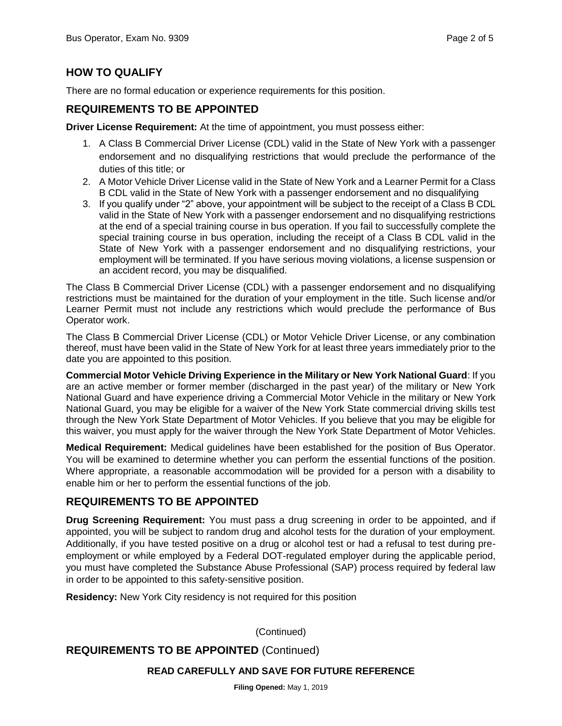# **HOW TO QUALIFY**

There are no formal education or experience requirements for this position.

### **REQUIREMENTS TO BE APPOINTED**

**Driver License Requirement:** At the time of appointment, you must possess either:

- 1. A Class B Commercial Driver License (CDL) valid in the State of New York with a passenger endorsement and no disqualifying restrictions that would preclude the performance of the duties of this title; or
- 2. A Motor Vehicle Driver License valid in the State of New York and a Learner Permit for a Class B CDL valid in the State of New York with a passenger endorsement and no disqualifying
- 3. If you qualify under "2" above, your appointment will be subject to the receipt of a Class B CDL valid in the State of New York with a passenger endorsement and no disqualifying restrictions at the end of a special training course in bus operation. If you fail to successfully complete the special training course in bus operation, including the receipt of a Class B CDL valid in the State of New York with a passenger endorsement and no disqualifying restrictions, your employment will be terminated. If you have serious moving violations, a license suspension or an accident record, you may be disqualified.

The Class B Commercial Driver License (CDL) with a passenger endorsement and no disqualifying restrictions must be maintained for the duration of your employment in the title. Such license and/or Learner Permit must not include any restrictions which would preclude the performance of Bus Operator work.

The Class B Commercial Driver License (CDL) or Motor Vehicle Driver License, or any combination thereof, must have been valid in the State of New York for at least three years immediately prior to the date you are appointed to this position.

**Commercial Motor Vehicle Driving Experience in the Military or New York National Guard**: If you are an active member or former member (discharged in the past year) of the military or New York National Guard and have experience driving a Commercial Motor Vehicle in the military or New York National Guard, you may be eligible for a waiver of the New York State commercial driving skills test through the New York State Department of Motor Vehicles. If you believe that you may be eligible for this waiver, you must apply for the waiver through the New York State Department of Motor Vehicles.

**Medical Requirement:** Medical guidelines have been established for the position of Bus Operator. You will be examined to determine whether you can perform the essential functions of the position. Where appropriate, a reasonable accommodation will be provided for a person with a disability to enable him or her to perform the essential functions of the job.

# **REQUIREMENTS TO BE APPOINTED**

**Drug Screening Requirement:** You must pass a drug screening in order to be appointed, and if appointed, you will be subject to random drug and alcohol tests for the duration of your employment. Additionally, if you have tested positive on a drug or alcohol test or had a refusal to test during preemployment or while employed by a Federal DOT-regulated employer during the applicable period, you must have completed the Substance Abuse Professional (SAP) process required by federal law in order to be appointed to this safety-sensitive position.

**Residency:** New York City residency is not required for this position

(Continued)

**REQUIREMENTS TO BE APPOINTED** (Continued)

#### **READ CAREFULLY AND SAVE FOR FUTURE REFERENCE**

**Filing Opened:** May 1, 2019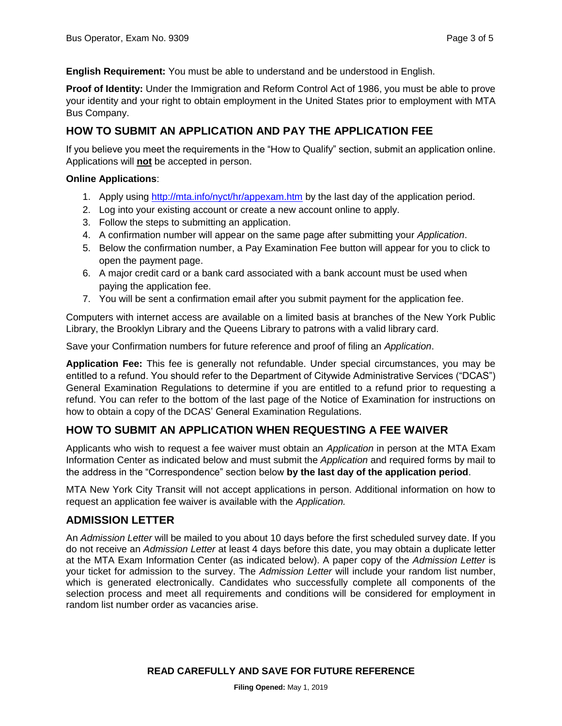**English Requirement:** You must be able to understand and be understood in English.

**Proof of Identity:** Under the Immigration and Reform Control Act of 1986, you must be able to prove your identity and your right to obtain employment in the United States prior to employment with MTA Bus Company.

# **HOW TO SUBMIT AN APPLICATION AND PAY THE APPLICATION FEE**

If you believe you meet the requirements in the "How to Qualify" section, submit an application online. Applications will **not** be accepted in person.

#### **Online Applications**:

- 1. Apply using<http://mta.info/nyct/hr/appexam.htm> by the last day of the application period.
- 2. Log into your existing account or create a new account online to apply.
- 3. Follow the steps to submitting an application.
- 4. A confirmation number will appear on the same page after submitting your *Application*.
- 5. Below the confirmation number, a Pay Examination Fee button will appear for you to click to open the payment page.
- 6. A major credit card or a bank card associated with a bank account must be used when paying the application fee.
- 7. You will be sent a confirmation email after you submit payment for the application fee.

Computers with internet access are available on a limited basis at branches of the New York Public Library, the Brooklyn Library and the Queens Library to patrons with a valid library card.

Save your Confirmation numbers for future reference and proof of filing an *Application*.

**Application Fee:** This fee is generally not refundable. Under special circumstances, you may be entitled to a refund. You should refer to the Department of Citywide Administrative Services ("DCAS") General Examination Regulations to determine if you are entitled to a refund prior to requesting a refund. You can refer to the bottom of the last page of the Notice of Examination for instructions on how to obtain a copy of the DCAS' General Examination Regulations.

# **HOW TO SUBMIT AN APPLICATION WHEN REQUESTING A FEE WAIVER**

Applicants who wish to request a fee waiver must obtain an *Application* in person at the MTA Exam Information Center as indicated below and must submit the *Application* and required forms by mail to the address in the "Correspondence" section below **by the last day of the application period**.

MTA New York City Transit will not accept applications in person. Additional information on how to request an application fee waiver is available with the *Application.*

# **ADMISSION LETTER**

An *Admission Letter* will be mailed to you about 10 days before the first scheduled survey date. If you do not receive an *Admission Letter* at least 4 days before this date, you may obtain a duplicate letter at the MTA Exam Information Center (as indicated below). A paper copy of the *Admission Letter* is your ticket for admission to the survey. The *Admission Letter* will include your random list number, which is generated electronically. Candidates who successfully complete all components of the selection process and meet all requirements and conditions will be considered for employment in random list number order as vacancies arise.

**READ CAREFULLY AND SAVE FOR FUTURE REFERENCE**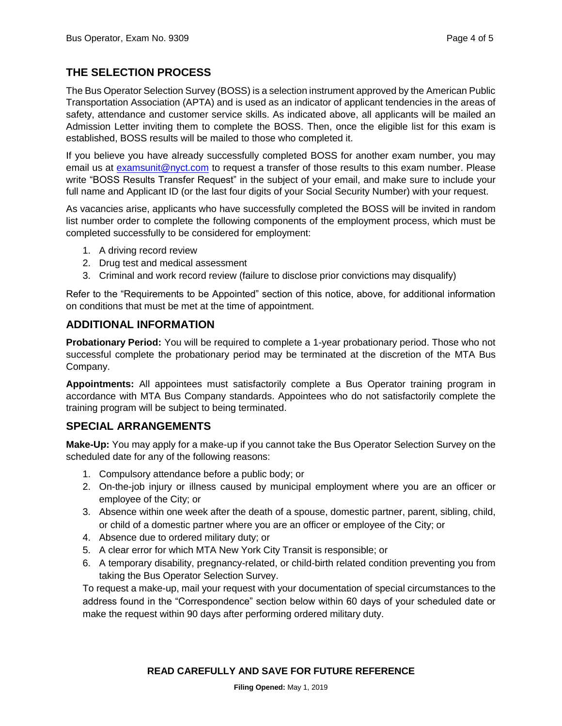# **THE SELECTION PROCESS**

The Bus Operator Selection Survey (BOSS) is a selection instrument approved by the American Public Transportation Association (APTA) and is used as an indicator of applicant tendencies in the areas of safety, attendance and customer service skills. As indicated above, all applicants will be mailed an Admission Letter inviting them to complete the BOSS. Then, once the eligible list for this exam is established, BOSS results will be mailed to those who completed it.

If you believe you have already successfully completed BOSS for another exam number, you may email us at [examsunit@nyct.com](mailto:examsunit@nyct.com) to request a transfer of those results to this exam number. Please write "BOSS Results Transfer Request" in the subject of your email, and make sure to include your full name and Applicant ID (or the last four digits of your Social Security Number) with your request.

As vacancies arise, applicants who have successfully completed the BOSS will be invited in random list number order to complete the following components of the employment process, which must be completed successfully to be considered for employment:

- 1. A driving record review
- 2. Drug test and medical assessment
- 3. Criminal and work record review (failure to disclose prior convictions may disqualify)

Refer to the "Requirements to be Appointed" section of this notice, above, for additional information on conditions that must be met at the time of appointment.

# **ADDITIONAL INFORMATION**

**Probationary Period:** You will be required to complete a 1-year probationary period. Those who not successful complete the probationary period may be terminated at the discretion of the MTA Bus Company.

**Appointments:** All appointees must satisfactorily complete a Bus Operator training program in accordance with MTA Bus Company standards. Appointees who do not satisfactorily complete the training program will be subject to being terminated.

# **SPECIAL ARRANGEMENTS**

**Make-Up:** You may apply for a make-up if you cannot take the Bus Operator Selection Survey on the scheduled date for any of the following reasons:

- 1. Compulsory attendance before a public body; or
- 2. On-the-job injury or illness caused by municipal employment where you are an officer or employee of the City; or
- 3. Absence within one week after the death of a spouse, domestic partner, parent, sibling, child, or child of a domestic partner where you are an officer or employee of the City; or
- 4. Absence due to ordered military duty; or
- 5. A clear error for which MTA New York City Transit is responsible; or
- 6. A temporary disability, pregnancy-related, or child-birth related condition preventing you from taking the Bus Operator Selection Survey.

To request a make-up, mail your request with your documentation of special circumstances to the address found in the "Correspondence" section below within 60 days of your scheduled date or make the request within 90 days after performing ordered military duty.

#### **READ CAREFULLY AND SAVE FOR FUTURE REFERENCE**